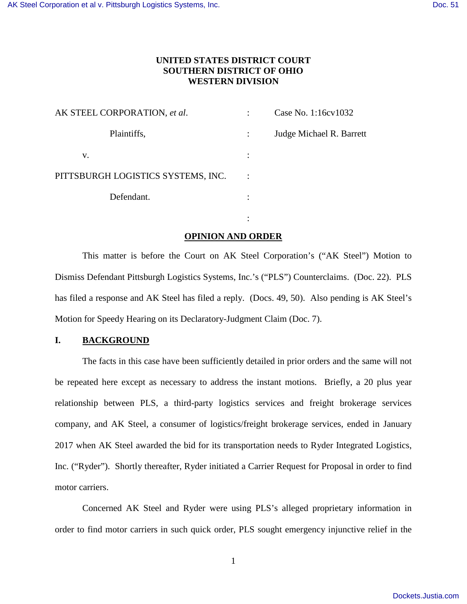# **UNITED STATES DISTRICT COURT SOUTHERN DISTRICT OF OHIO WESTERN DIVISION**

| AK STEEL CORPORATION, et al.       | Case No. 1:16cv1032      |
|------------------------------------|--------------------------|
| Plaintiffs,                        | Judge Michael R. Barrett |
| v.                                 |                          |
| PITTSBURGH LOGISTICS SYSTEMS, INC. |                          |
| Defendant.                         |                          |

the contract of the contract of the contract of the contract of the contract of the contract of the contract of

# **OPINION AND ORDER**

This matter is before the Court on AK Steel Corporation's ("AK Steel") Motion to Dismiss Defendant Pittsburgh Logistics Systems, Inc.'s ("PLS") Counterclaims. (Doc. 22). PLS has filed a response and AK Steel has filed a reply. (Docs. 49, 50). Also pending is AK Steel's Motion for Speedy Hearing on its Declaratory-Judgment Claim (Doc. 7).

## **I. BACKGROUND**

The facts in this case have been sufficiently detailed in prior orders and the same will not be repeated here except as necessary to address the instant motions. Briefly, a 20 plus year relationship between PLS, a third-party logistics services and freight brokerage services company, and AK Steel, a consumer of logistics/freight brokerage services, ended in January 2017 when AK Steel awarded the bid for its transportation needs to Ryder Integrated Logistics, Inc. ("Ryder"). Shortly thereafter, Ryder initiated a Carrier Request for Proposal in order to find motor carriers.

Concerned AK Steel and Ryder were using PLS's alleged proprietary information in order to find motor carriers in such quick order, PLS sought emergency injunctive relief in the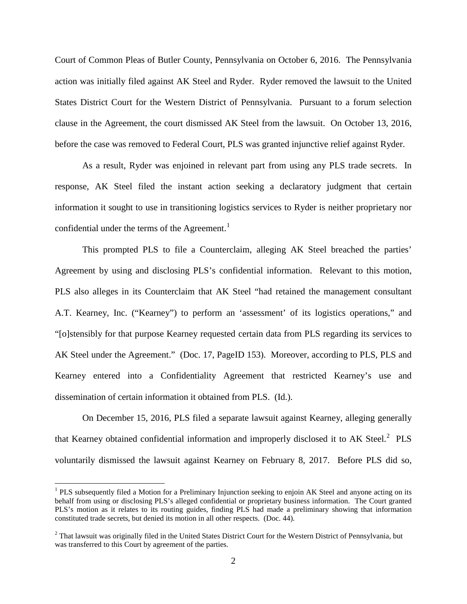Court of Common Pleas of Butler County, Pennsylvania on October 6, 2016. The Pennsylvania action was initially filed against AK Steel and Ryder. Ryder removed the lawsuit to the United States District Court for the Western District of Pennsylvania. Pursuant to a forum selection clause in the Agreement, the court dismissed AK Steel from the lawsuit. On October 13, 2016, before the case was removed to Federal Court, PLS was granted injunctive relief against Ryder.

As a result, Ryder was enjoined in relevant part from using any PLS trade secrets. In response, AK Steel filed the instant action seeking a declaratory judgment that certain information it sought to use in transitioning logistics services to Ryder is neither proprietary nor confidential under the terms of the Agreement.<sup>[1](#page-1-0)</sup>

This prompted PLS to file a Counterclaim, alleging AK Steel breached the parties' Agreement by using and disclosing PLS's confidential information. Relevant to this motion, PLS also alleges in its Counterclaim that AK Steel "had retained the management consultant A.T. Kearney, Inc. ("Kearney") to perform an 'assessment' of its logistics operations," and "[o]stensibly for that purpose Kearney requested certain data from PLS regarding its services to AK Steel under the Agreement." (Doc. 17, PageID 153). Moreover, according to PLS, PLS and Kearney entered into a Confidentiality Agreement that restricted Kearney's use and dissemination of certain information it obtained from PLS. (Id.).

On December 15, 2016, PLS filed a separate lawsuit against Kearney, alleging generally that Kearney obtained confidential information and improperly disclosed it to AK Steel. $^{2}$  $^{2}$  $^{2}$  PLS voluntarily dismissed the lawsuit against Kearney on February 8, 2017. Before PLS did so,

 $\overline{a}$ 

<span id="page-1-0"></span><sup>&</sup>lt;sup>1</sup> PLS subsequently filed a Motion for a Preliminary Injunction seeking to enjoin AK Steel and anyone acting on its behalf from using or disclosing PLS's alleged confidential or proprietary business information. The Court granted PLS's motion as it relates to its routing guides, finding PLS had made a preliminary showing that information constituted trade secrets, but denied its motion in all other respects. (Doc. 44).

<span id="page-1-1"></span> $2$  That lawsuit was originally filed in the United States District Court for the Western District of Pennsylvania, but was transferred to this Court by agreement of the parties.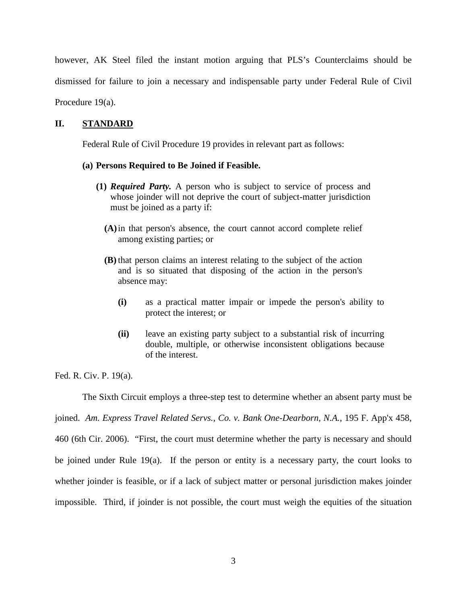however, AK Steel filed the instant motion arguing that PLS's Counterclaims should be dismissed for failure to join a necessary and indispensable party under Federal Rule of Civil Procedure 19(a).

## **II. STANDARD**

Federal Rule of Civil Procedure 19 provides in relevant part as follows:

#### **(a) Persons Required to Be Joined if Feasible.**

- **(1)** *Required Party.* A person who is subject to service of process and whose joinder will not deprive the court of subject-matter jurisdiction must be joined as a party if:
	- **(A)**in that person's absence, the court cannot accord complete relief among existing parties; or
	- **(B)** that person claims an interest relating to the subject of the action and is so situated that disposing of the action in the person's absence may:
		- **(i)** as a practical matter impair or impede the person's ability to protect the interest; or
		- **(ii)** leave an existing party subject to a substantial risk of incurring double, multiple, or otherwise inconsistent obligations because of the interest.

Fed. R. Civ. P. 19(a).

The Sixth Circuit employs a three-step test to determine whether an absent party must be joined. *Am. Express Travel Related Servs., Co. v. Bank One-Dearborn, N.A.*, 195 F. App'x 458, 460 (6th Cir. 2006). "First, the court must determine whether the party is necessary and should be joined under Rule 19(a). If the person or entity is a necessary party, the court looks to whether joinder is feasible, or if a lack of subject matter or personal jurisdiction makes joinder impossible. Third, if joinder is not possible, the court must weigh the equities of the situation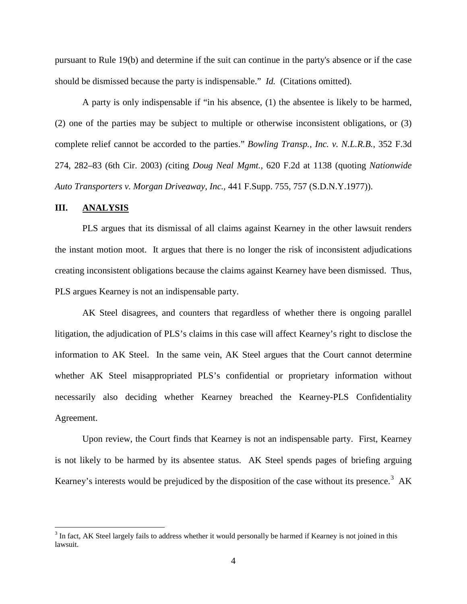pursuant to Rule 19(b) and determine if the suit can continue in the party's absence or if the case should be dismissed because the party is indispensable." *Id.* (Citations omitted).

A party is only indispensable if "in his absence, (1) the absentee is likely to be harmed, (2) one of the parties may be subject to multiple or otherwise inconsistent obligations, or (3) complete relief cannot be accorded to the parties." *Bowling Transp., Inc. v. N.L.R.B.*, 352 F.3d 274, 282–83 (6th Cir. 2003) *(*citing *Doug Neal Mgmt.,* 620 F.2d at 1138 (quoting *Nationwide Auto Transporters v. Morgan Driveaway, Inc.,* 441 F.Supp. 755, 757 (S.D.N.Y.1977)).

### **III. ANALYSIS**

 $\overline{a}$ 

PLS argues that its dismissal of all claims against Kearney in the other lawsuit renders the instant motion moot. It argues that there is no longer the risk of inconsistent adjudications creating inconsistent obligations because the claims against Kearney have been dismissed. Thus, PLS argues Kearney is not an indispensable party.

AK Steel disagrees, and counters that regardless of whether there is ongoing parallel litigation, the adjudication of PLS's claims in this case will affect Kearney's right to disclose the information to AK Steel. In the same vein, AK Steel argues that the Court cannot determine whether AK Steel misappropriated PLS's confidential or proprietary information without necessarily also deciding whether Kearney breached the Kearney-PLS Confidentiality Agreement.

Upon review, the Court finds that Kearney is not an indispensable party. First, Kearney is not likely to be harmed by its absentee status. AK Steel spends pages of briefing arguing Kearney's interests would be prejudiced by the disposition of the case without its presence.<sup>[3](#page-3-0)</sup> AK

<span id="page-3-0"></span> $3$  In fact, AK Steel largely fails to address whether it would personally be harmed if Kearney is not joined in this lawsuit.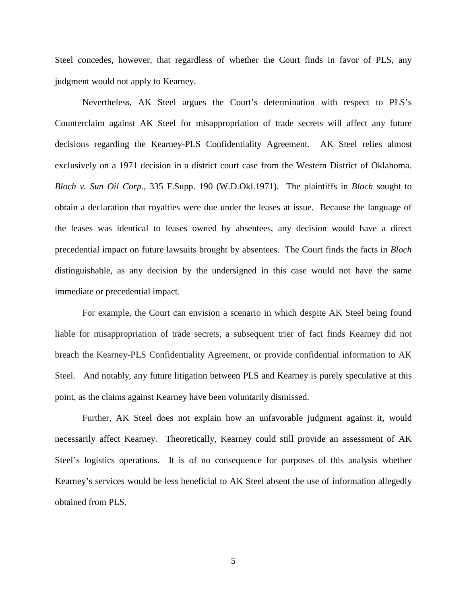Steel concedes, however, that regardless of whether the Court finds in favor of PLS, any judgment would not apply to Kearney.

Nevertheless, AK Steel argues the Court's determination with respect to PLS's Counterclaim against AK Steel for misappropriation of trade secrets will affect any future decisions regarding the Kearney-PLS Confidentiality Agreement. AK Steel relies almost exclusively on a 1971 decision in a district court case from the Western District of Oklahoma. *Bloch v. Sun Oil Corp.*[, 335 F.Supp. 190 \(W.D.Okl.1971\).](https://1.next.westlaw.com/Link/Document/FullText?findType=Y&serNum=1971107470&pubNum=345&originatingDoc=I809e6a43551511d997e0acd5cbb90d3f&refType=RP&originationContext=document&transitionType=DocumentItem&contextData=(sc.Keycite)) The plaintiffs in *Bloch* sought to obtain a declaration that royalties were due under the leases at issue. Because the language of the leases was identical to leases owned by absentees, any decision would have a direct precedential impact on future lawsuits brought by absentees. The Court finds the facts in *Bloch*  distinguishable, as any decision by the undersigned in this case would not have the same immediate or precedential impact.

For example, the Court can envision a scenario in which despite AK Steel being found liable for misappropriation of trade secrets, a subsequent trier of fact finds Kearney did not breach the Kearney-PLS Confidentiality Agreement, or provide confidential information to AK Steel. And notably, any future litigation between PLS and Kearney is purely speculative at this point, as the claims against Kearney have been voluntarily dismissed.

Further, AK Steel does not explain how an unfavorable judgment against it, would necessarily affect Kearney. Theoretically, Kearney could still provide an assessment of AK Steel's logistics operations. It is of no consequence for purposes of this analysis whether Kearney's services would be less beneficial to AK Steel absent the use of information allegedly obtained from PLS.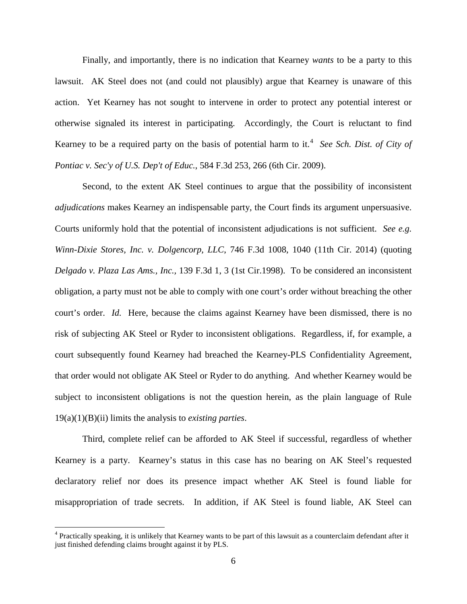Finally, and importantly, there is no indication that Kearney *wants* to be a party to this lawsuit. AK Steel does not (and could not plausibly) argue that Kearney is unaware of this action. Yet Kearney has not sought to intervene in order to protect any potential interest or otherwise signaled its interest in participating. Accordingly, the Court is reluctant to find Kearney to be a required party on the basis of potential harm to it.<sup>[4](#page-5-0)</sup> See Sch. Dist. of City of *Pontiac v. Sec'y of U.S. Dep't of Educ.*, 584 F.3d 253, 266 (6th Cir. 2009).

Second, to the extent AK Steel continues to argue that the possibility of inconsistent *adjudications* makes Kearney an indispensable party, the Court finds its argument unpersuasive. Courts uniformly hold that the potential of inconsistent adjudications is not sufficient. *See e.g. Winn-Dixie Stores, Inc. v. Dolgencorp, LLC*, 746 F.3d 1008, 1040 (11th Cir. 2014) (quoting *[Delgado v. Plaza Las Ams., Inc.,](https://1.next.westlaw.com/Link/Document/FullText?findType=Y&serNum=1998063537&pubNum=506&originatingDoc=I2e4de4cfa4a611e3b58f910794d4f75e&refType=RP&fi=co_pp_sp_506_3&originationContext=document&transitionType=DocumentItem&contextData=(sc.DocLink)#co_pp_sp_506_3)* 139 F.3d 1, 3 (1st Cir.1998). To be considered an inconsistent obligation, a party must not be able to comply with one court's order without breaching the other court's order. *Id.* Here, because the claims against Kearney have been dismissed, there is no risk of subjecting AK Steel or Ryder to inconsistent obligations. Regardless, if, for example, a court subsequently found Kearney had breached the Kearney-PLS Confidentiality Agreement, that order would not obligate AK Steel or Ryder to do anything. And whether Kearney would be subject to inconsistent obligations is not the question herein, as the plain language of Rule 19(a)(1)(B)(ii) limits the analysis to *existing parties*.

Third, complete relief can be afforded to AK Steel if successful, regardless of whether Kearney is a party. Kearney's status in this case has no bearing on AK Steel's requested declaratory relief nor does its presence impact whether AK Steel is found liable for misappropriation of trade secrets. In addition, if AK Steel is found liable, AK Steel can

 $\overline{a}$ 

<span id="page-5-0"></span><sup>&</sup>lt;sup>4</sup> Practically speaking, it is unlikely that Kearney wants to be part of this lawsuit as a counterclaim defendant after it just finished defending claims brought against it by PLS.